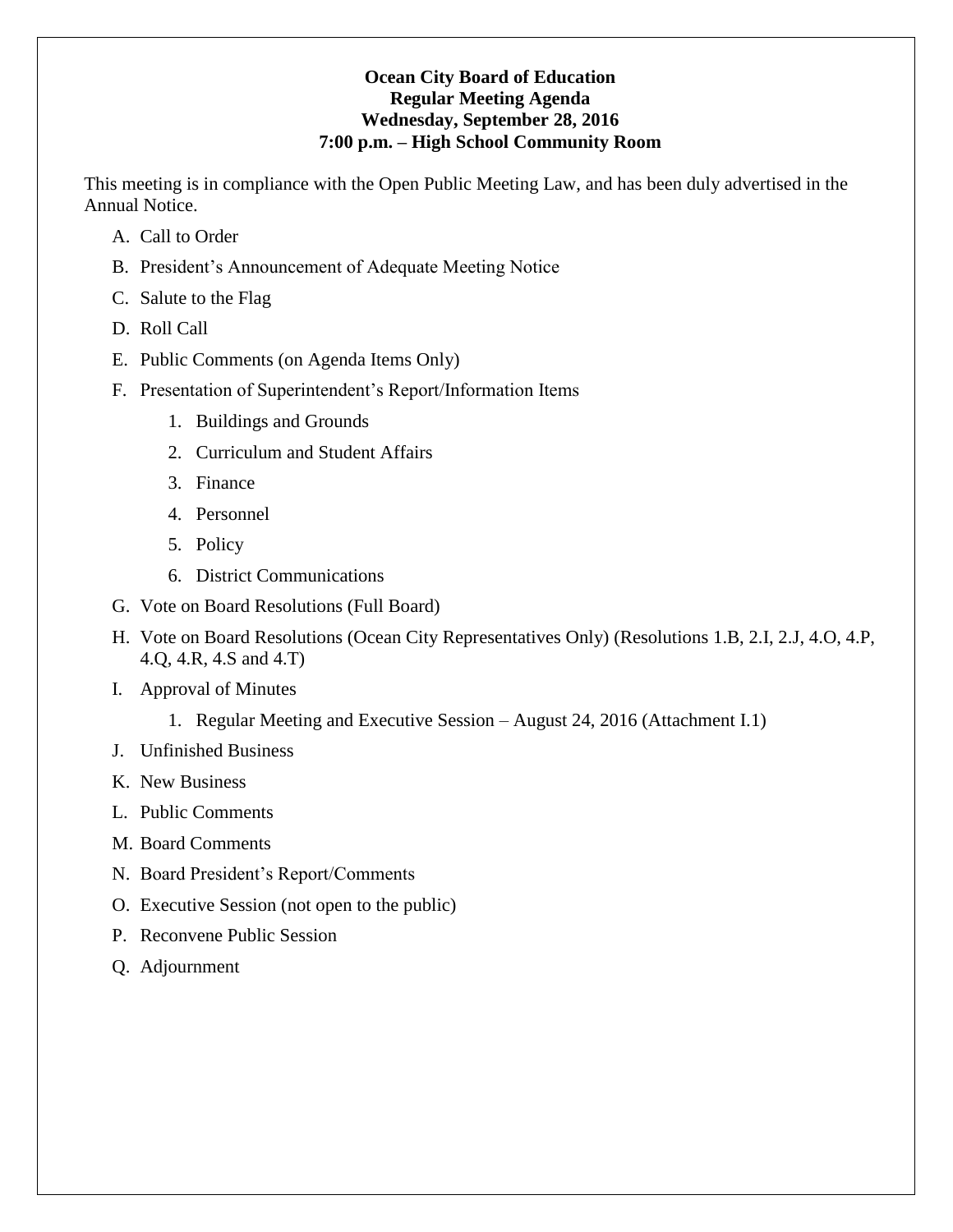## **Ocean City Board of Education Regular Meeting Agenda Wednesday, September 28, 2016 7:00 p.m. – High School Community Room**

This meeting is in compliance with the Open Public Meeting Law, and has been duly advertised in the Annual Notice.

- A. Call to Order
- B. President's Announcement of Adequate Meeting Notice
- C. Salute to the Flag
- D. Roll Call
- E. Public Comments (on Agenda Items Only)
- F. Presentation of Superintendent's Report/Information Items
	- 1. Buildings and Grounds
	- 2. Curriculum and Student Affairs
	- 3. Finance
	- 4. Personnel
	- 5. Policy
	- 6. District Communications
- G. Vote on Board Resolutions (Full Board)
- H. Vote on Board Resolutions (Ocean City Representatives Only) (Resolutions 1.B, 2.I, 2.J, 4.O, 4.P, 4.Q, 4.R, 4.S and 4.T)
- I. Approval of Minutes
	- 1. Regular Meeting and Executive Session August 24, 2016 (Attachment I.1)
- J. Unfinished Business
- K. New Business
- L. Public Comments
- M. Board Comments
- N. Board President's Report/Comments
- O. Executive Session (not open to the public)
- P. Reconvene Public Session
- Q. Adjournment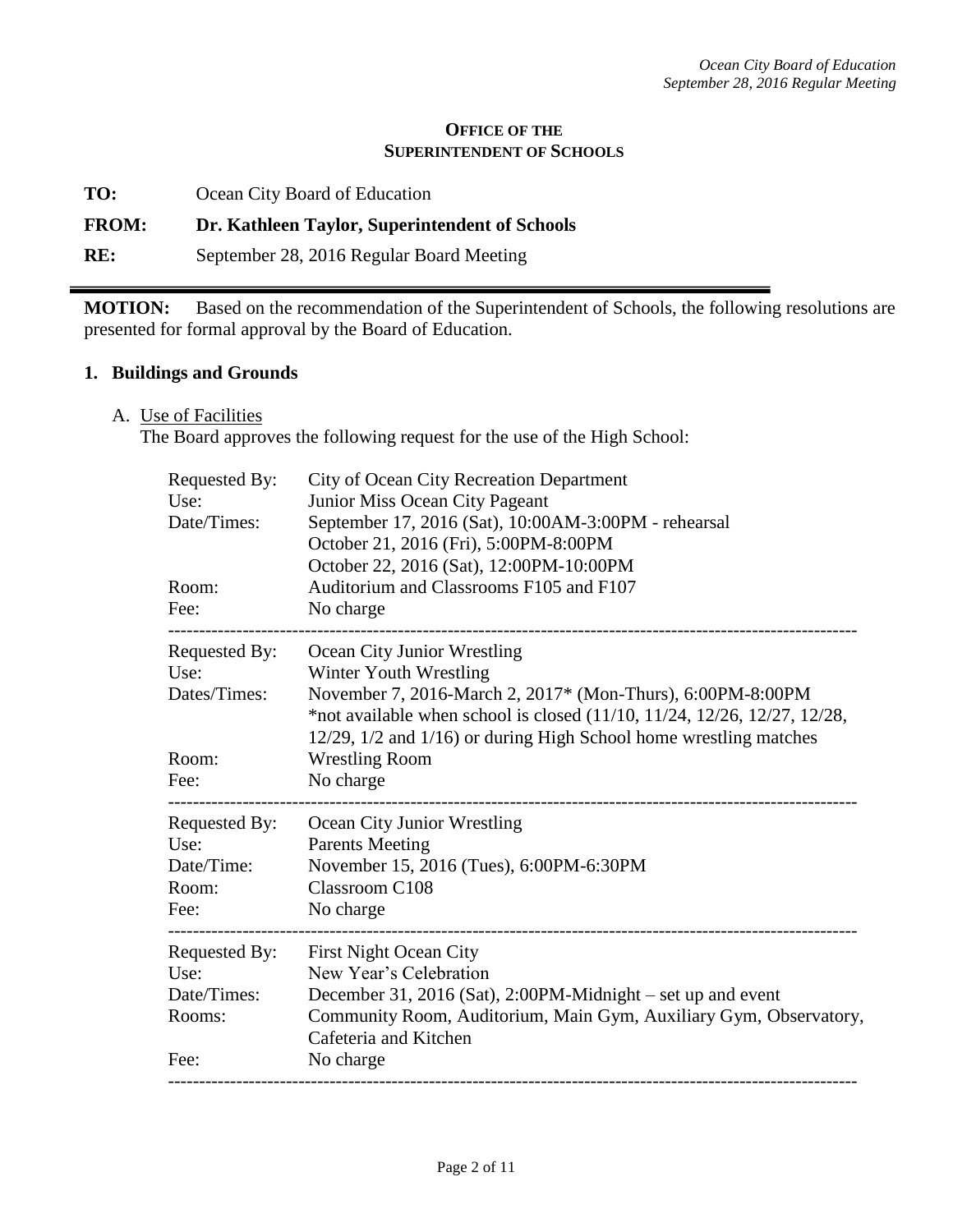#### **OFFICE OF THE SUPERINTENDENT OF SCHOOLS**

**TO:** Ocean City Board of Education

## **FROM: Dr. Kathleen Taylor, Superintendent of Schools**

**RE:** September 28, 2016 Regular Board Meeting

**MOTION:** Based on the recommendation of the Superintendent of Schools, the following resolutions are presented for formal approval by the Board of Education.

## **1. Buildings and Grounds**

A. Use of Facilities

The Board approves the following request for the use of the High School:

| Requested By:<br>Use:<br>Date/Times:<br>Room:<br>Fee:  | <b>City of Ocean City Recreation Department</b><br>Junior Miss Ocean City Pageant<br>September 17, 2016 (Sat), 10:00AM-3:00PM - rehearsal<br>October 21, 2016 (Fri), 5:00PM-8:00PM<br>October 22, 2016 (Sat), 12:00PM-10:00PM<br>Auditorium and Classrooms F105 and F107<br>No charge |
|--------------------------------------------------------|---------------------------------------------------------------------------------------------------------------------------------------------------------------------------------------------------------------------------------------------------------------------------------------|
| Requested By:                                          | Ocean City Junior Wrestling                                                                                                                                                                                                                                                           |
| Use:                                                   | Winter Youth Wrestling                                                                                                                                                                                                                                                                |
| Dates/Times:                                           | November 7, 2016-March 2, 2017* (Mon-Thurs), 6:00PM-8:00PM<br>*not available when school is closed (11/10, 11/24, 12/26, 12/27, 12/28,<br>12/29, 1/2 and 1/16) or during High School home wrestling matches                                                                           |
| Room:                                                  | <b>Wrestling Room</b>                                                                                                                                                                                                                                                                 |
| Fee:                                                   | No charge                                                                                                                                                                                                                                                                             |
| Requested By:                                          | Ocean City Junior Wrestling                                                                                                                                                                                                                                                           |
| Use:                                                   | <b>Parents Meeting</b>                                                                                                                                                                                                                                                                |
| Date/Time:                                             | November 15, 2016 (Tues), 6:00PM-6:30PM                                                                                                                                                                                                                                               |
| Room:                                                  | Classroom C108                                                                                                                                                                                                                                                                        |
| Fee:                                                   | No charge                                                                                                                                                                                                                                                                             |
| Requested By:<br>Use:<br>Date/Times:<br>Rooms:<br>Fee: | <b>First Night Ocean City</b><br>New Year's Celebration<br>December 31, 2016 (Sat), 2:00PM-Midnight – set up and event<br>Community Room, Auditorium, Main Gym, Auxiliary Gym, Observatory,<br>Cafeteria and Kitchen<br>No charge                                                     |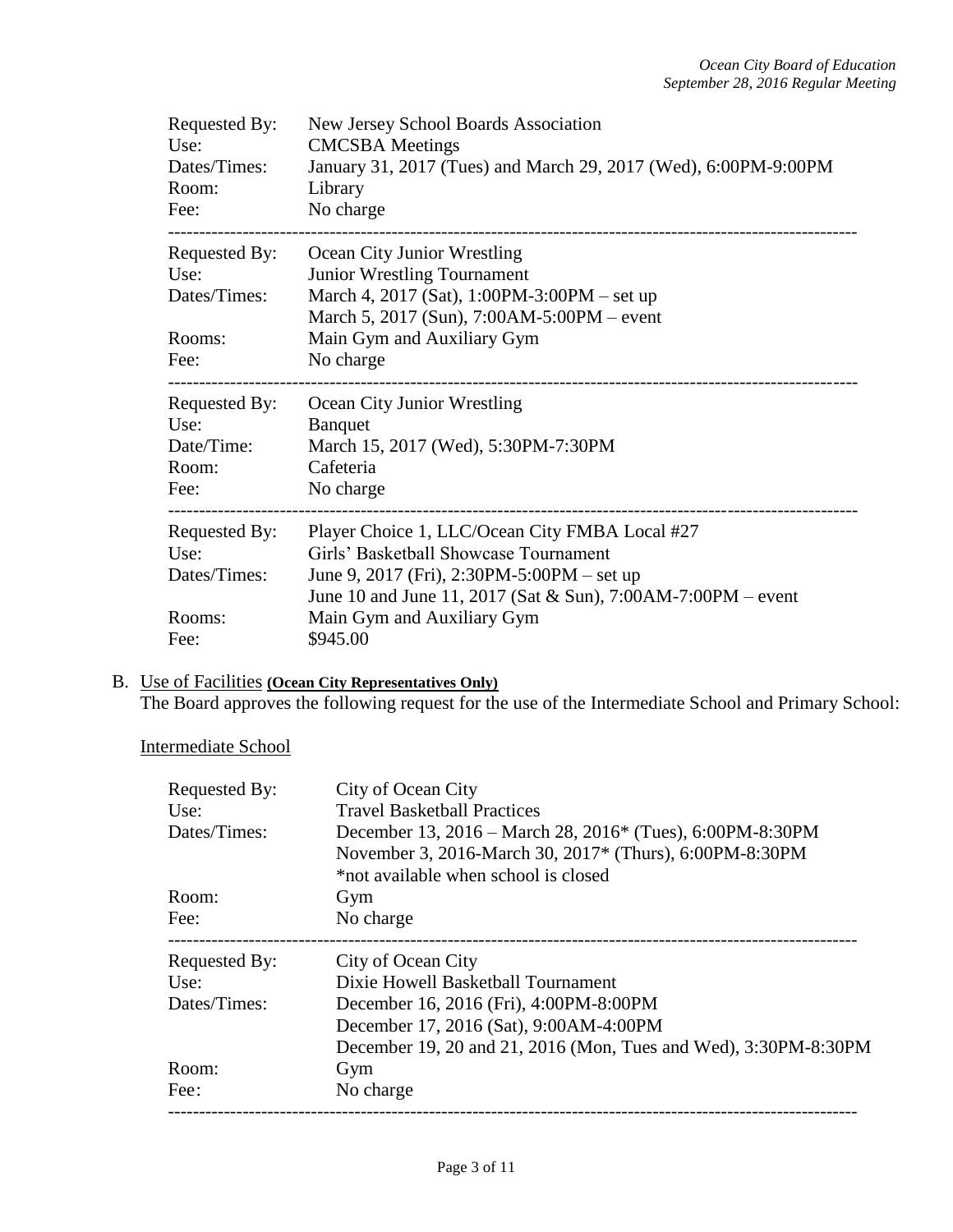| Requested By:<br>Use:<br>Dates/Times:<br>Room:<br>Fee: | New Jersey School Boards Association<br><b>CMCSBA</b> Meetings<br>January 31, 2017 (Tues) and March 29, 2017 (Wed), 6:00PM-9:00PM<br>Library<br>No charge |
|--------------------------------------------------------|-----------------------------------------------------------------------------------------------------------------------------------------------------------|
| Requested By:<br>Use:                                  | Ocean City Junior Wrestling<br>Junior Wrestling Tournament                                                                                                |
| Dates/Times:                                           | March 4, 2017 (Sat), 1:00PM-3:00PM – set up                                                                                                               |
| Rooms:                                                 | March 5, 2017 (Sun), 7:00AM-5:00PM – event<br>Main Gym and Auxiliary Gym                                                                                  |
| Fee:                                                   | No charge                                                                                                                                                 |
| Requested By:                                          | Ocean City Junior Wrestling                                                                                                                               |
|                                                        |                                                                                                                                                           |
| Use:<br>Date/Time:                                     | <b>Banquet</b><br>March 15, 2017 (Wed), 5:30PM-7:30PM                                                                                                     |
| Room:                                                  | Cafeteria                                                                                                                                                 |
| Fee:                                                   | No charge                                                                                                                                                 |
| Requested By:                                          | Player Choice 1, LLC/Ocean City FMBA Local #27                                                                                                            |
| Use:                                                   | Girls' Basketball Showcase Tournament                                                                                                                     |
| Dates/Times:                                           | June 9, 2017 (Fri), 2:30PM-5:00PM – set up                                                                                                                |
| Rooms:                                                 | June 10 and June 11, 2017 (Sat & Sun), 7:00AM-7:00PM – event<br>Main Gym and Auxiliary Gym                                                                |

# B. Use of Facilities **(Ocean City Representatives Only)**

The Board approves the following request for the use of the Intermediate School and Primary School:

## Intermediate School

| City of Ocean City<br>Requested By: |                                                                       |  |  |  |
|-------------------------------------|-----------------------------------------------------------------------|--|--|--|
| Use:                                | <b>Travel Basketball Practices</b>                                    |  |  |  |
| Dates/Times:                        | December 13, 2016 – March 28, 2016 <sup>*</sup> (Tues), 6:00PM-8:30PM |  |  |  |
|                                     | November 3, 2016-March 30, 2017* (Thurs), 6:00PM-8:30PM               |  |  |  |
|                                     | *not available when school is closed                                  |  |  |  |
| Room:                               | Gym                                                                   |  |  |  |
| Fee:                                | No charge                                                             |  |  |  |
| Requested By:                       | City of Ocean City                                                    |  |  |  |
| Use:                                | Dixie Howell Basketball Tournament                                    |  |  |  |
| Dates/Times:                        | December 16, 2016 (Fri), 4:00PM-8:00PM                                |  |  |  |
|                                     | December 17, 2016 (Sat), 9:00AM-4:00PM                                |  |  |  |
|                                     | December 19, 20 and 21, 2016 (Mon, Tues and Wed), 3:30PM-8:30PM       |  |  |  |
| Room:                               | Gym                                                                   |  |  |  |
| Fee:                                | No charge                                                             |  |  |  |
|                                     |                                                                       |  |  |  |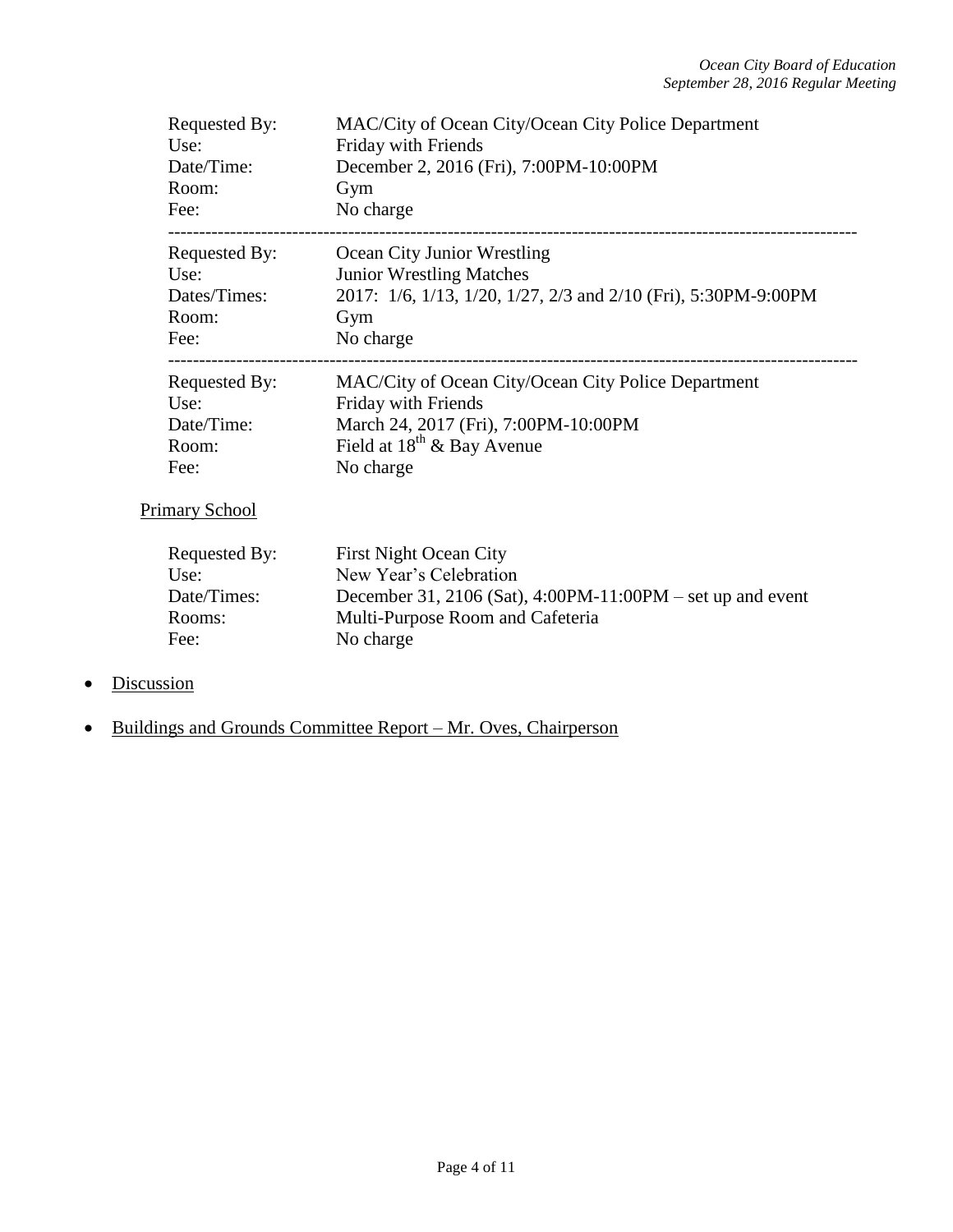| Requested By:         | MAC/City of Ocean City/Ocean City Police Department            |
|-----------------------|----------------------------------------------------------------|
| Use:                  | Friday with Friends                                            |
| Date/Time:            | December 2, 2016 (Fri), 7:00PM-10:00PM                         |
| Room:                 | Gym                                                            |
| Fee:                  | No charge                                                      |
| Requested By:         | Ocean City Junior Wrestling                                    |
| Use:                  | <b>Junior Wrestling Matches</b>                                |
| Dates/Times:          | 2017: 1/6, 1/13, 1/20, 1/27, 2/3 and 2/10 (Fri), 5:30PM-9:00PM |
| Room:                 | Gym                                                            |
| Fee:                  | No charge                                                      |
| Requested By:         | MAC/City of Ocean City/Ocean City Police Department            |
| Use:                  | Friday with Friends                                            |
| Date/Time:            | March 24, 2017 (Fri), 7:00PM-10:00PM                           |
| Room:                 | Field at $18^{th}$ & Bay Avenue                                |
| Fee:                  | No charge                                                      |
| <b>Primary School</b> |                                                                |
| Requested By:         | <b>First Night Ocean City</b>                                  |
| Use:                  | New Year's Celebration                                         |

| FILST INIGHT OCEAN CITY                                    |
|------------------------------------------------------------|
| New Year's Celebration                                     |
| December 31, 2106 (Sat), 4:00PM-11:00PM – set up and event |
| Multi-Purpose Room and Cafeteria                           |
| No charge                                                  |
|                                                            |

- Discussion
- Buildings and Grounds Committee Report Mr. Oves, Chairperson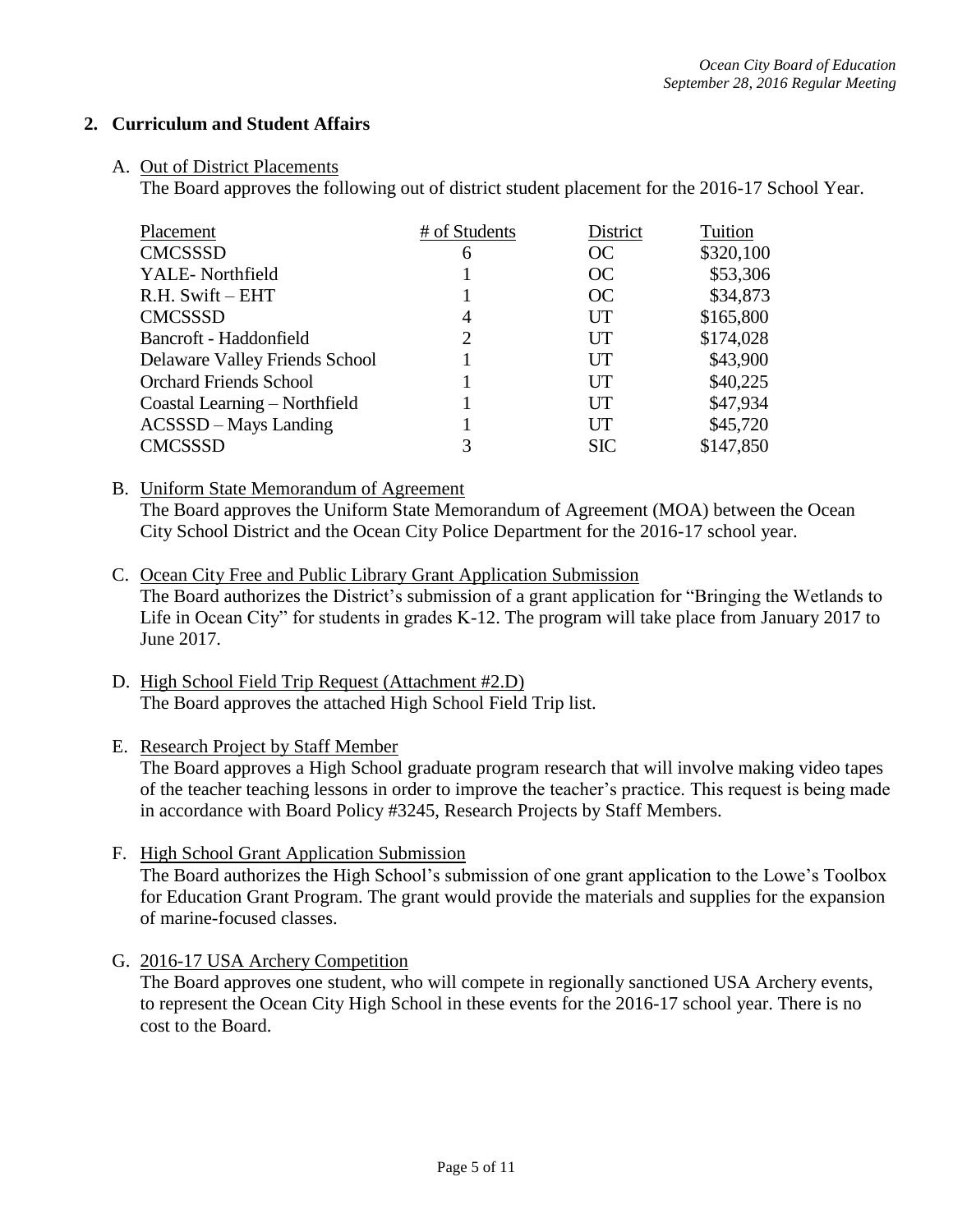#### **2. Curriculum and Student Affairs**

#### A. Out of District Placements

The Board approves the following out of district student placement for the 2016-17 School Year.

| Placement                      | # of Students  | District   | Tuition   |
|--------------------------------|----------------|------------|-----------|
| <b>CMCSSSD</b>                 | 6              | OC         | \$320,100 |
| YALE-Northfield                |                | OC         | \$53,306  |
| $R.H.$ Swift $-$ EHT           |                | OC         | \$34,873  |
| <b>CMCSSSD</b>                 | 4              | UT         | \$165,800 |
| Bancroft - Haddonfield         | $\overline{2}$ | UT         | \$174,028 |
| Delaware Valley Friends School |                | UT         | \$43,900  |
| <b>Orchard Friends School</b>  |                | UT         | \$40,225  |
| Coastal Learning - Northfield  |                | UT         | \$47,934  |
| ACSSSD - Mays Landing          |                | UT         | \$45,720  |
| <b>CMCSSSD</b>                 | 3              | <b>SIC</b> | \$147,850 |

#### B. Uniform State Memorandum of Agreement

The Board approves the Uniform State Memorandum of Agreement (MOA) between the Ocean City School District and the Ocean City Police Department for the 2016-17 school year.

- C. Ocean City Free and Public Library Grant Application Submission The Board authorizes the District's submission of a grant application for "Bringing the Wetlands to Life in Ocean City" for students in grades K-12. The program will take place from January 2017 to June 2017.
- D. High School Field Trip Request (Attachment #2.D) The Board approves the attached High School Field Trip list.

#### E. Research Project by Staff Member

The Board approves a High School graduate program research that will involve making video tapes of the teacher teaching lessons in order to improve the teacher's practice. This request is being made in accordance with Board Policy #3245, Research Projects by Staff Members.

F. High School Grant Application Submission

The Board authorizes the High School's submission of one grant application to the Lowe's Toolbox for Education Grant Program. The grant would provide the materials and supplies for the expansion of marine-focused classes.

G. 2016-17 USA Archery Competition The Board approves one student, who will compete in regionally sanctioned USA Archery events, to represent the Ocean City High School in these events for the 2016-17 school year. There is no cost to the Board.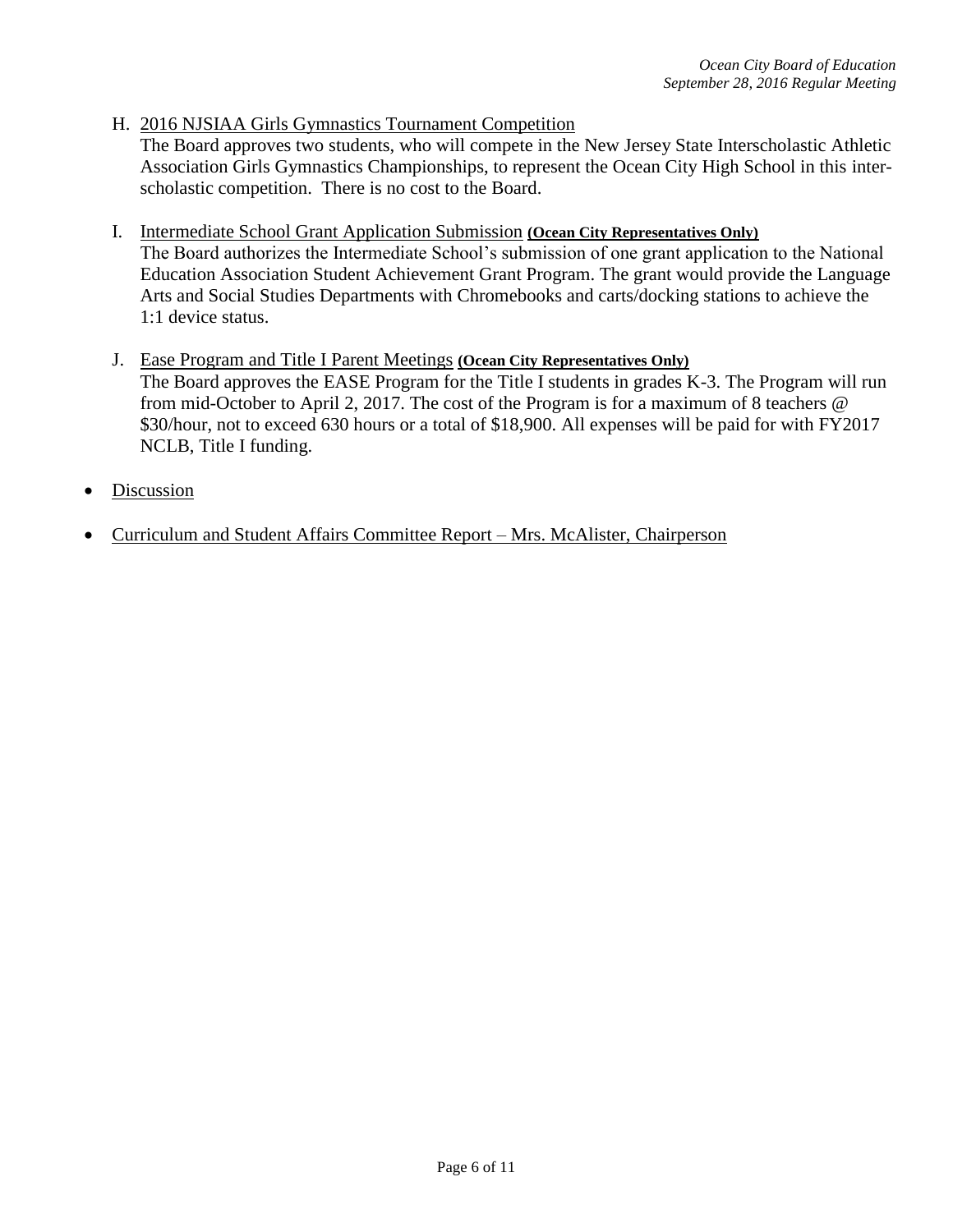H. 2016 NJSIAA Girls Gymnastics Tournament Competition

The Board approves two students, who will compete in the New Jersey State Interscholastic Athletic Association Girls Gymnastics Championships, to represent the Ocean City High School in this interscholastic competition. There is no cost to the Board.

- I. Intermediate School Grant Application Submission **(Ocean City Representatives Only)** The Board authorizes the Intermediate School's submission of one grant application to the National Education Association Student Achievement Grant Program. The grant would provide the Language Arts and Social Studies Departments with Chromebooks and carts/docking stations to achieve the 1:1 device status.
- J. Ease Program and Title I Parent Meetings **(Ocean City Representatives Only)**  The Board approves the EASE Program for the Title I students in grades K-3. The Program will run from mid-October to April 2, 2017. The cost of the Program is for a maximum of 8 teachers @ \$30/hour, not to exceed 630 hours or a total of \$18,900. All expenses will be paid for with FY2017 NCLB, Title I funding.
- Discussion
- Curriculum and Student Affairs Committee Report Mrs. McAlister, Chairperson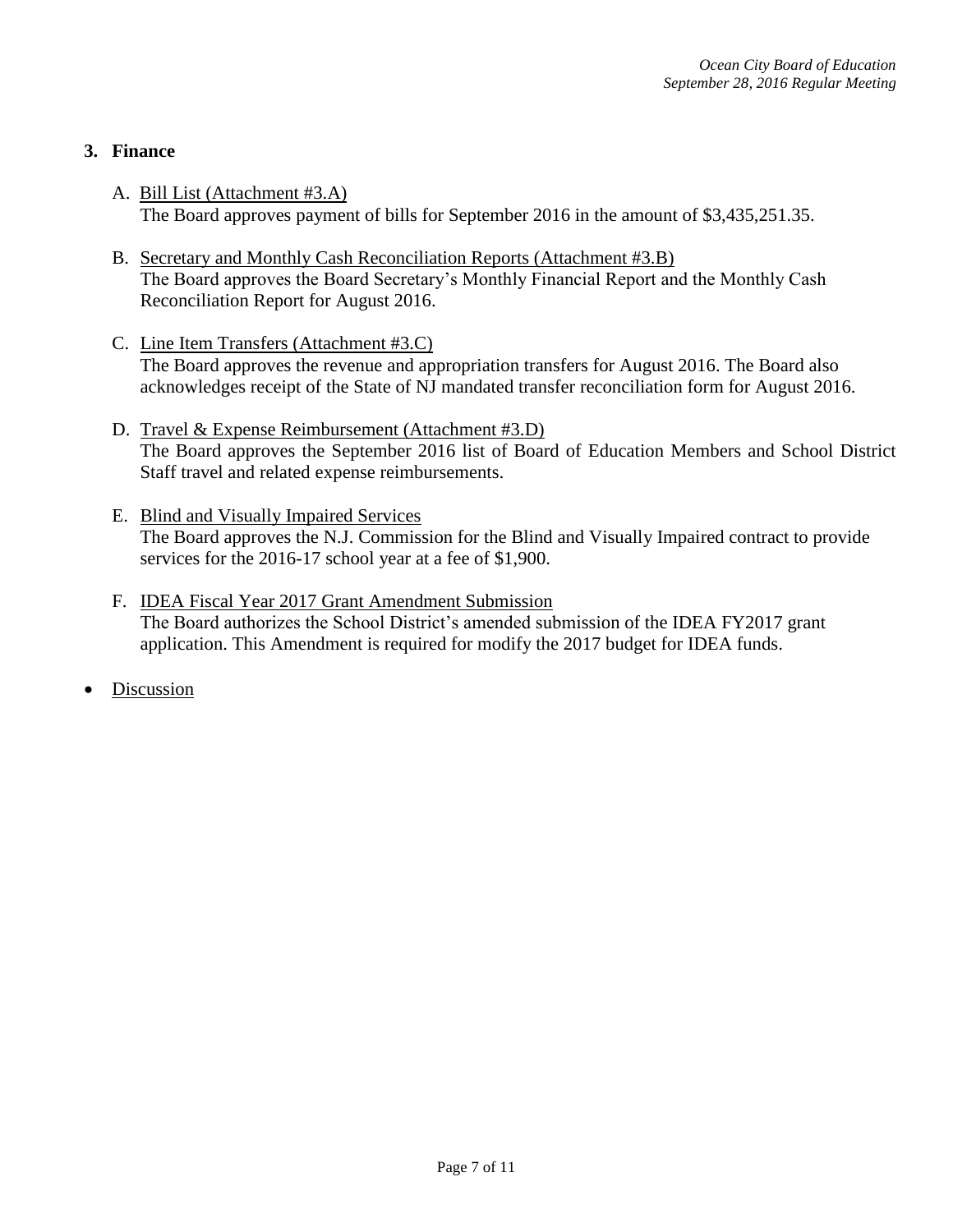## **3. Finance**

- A. Bill List (Attachment #3.A) The Board approves payment of bills for September 2016 in the amount of \$3,435,251.35.
- B. Secretary and Monthly Cash Reconciliation Reports (Attachment #3.B) The Board approves the Board Secretary's Monthly Financial Report and the Monthly Cash Reconciliation Report for August 2016.
- C. Line Item Transfers (Attachment #3.C) The Board approves the revenue and appropriation transfers for August 2016. The Board also acknowledges receipt of the State of NJ mandated transfer reconciliation form for August 2016.
- D. Travel & Expense Reimbursement (Attachment #3.D) The Board approves the September 2016 list of Board of Education Members and School District Staff travel and related expense reimbursements.
- E. Blind and Visually Impaired Services The Board approves the N.J. Commission for the Blind and Visually Impaired contract to provide services for the 2016-17 school year at a fee of \$1,900.
- F. IDEA Fiscal Year 2017 Grant Amendment Submission The Board authorizes the School District's amended submission of the IDEA FY2017 grant application. This Amendment is required for modify the 2017 budget for IDEA funds.
- Discussion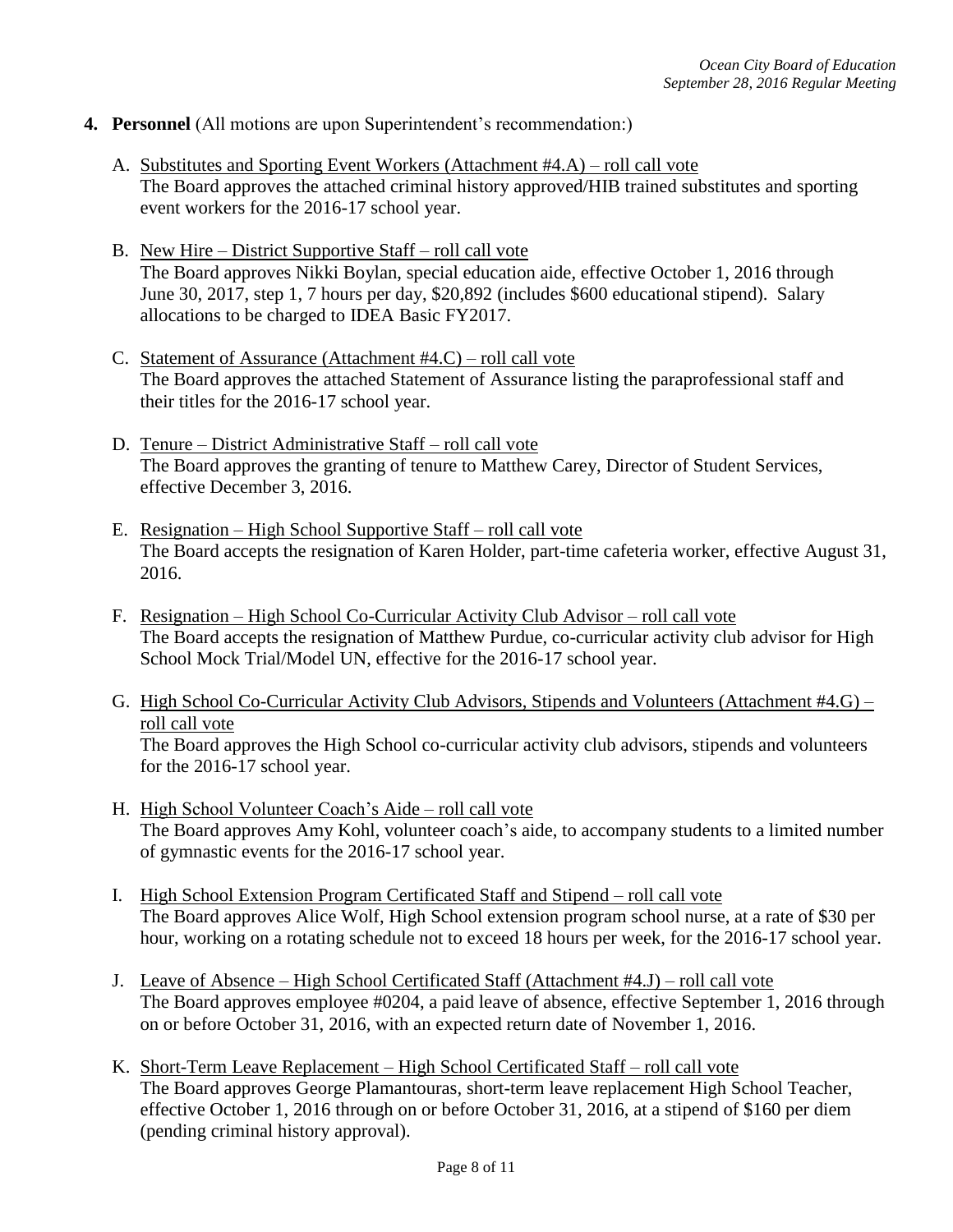- **4. Personnel** (All motions are upon Superintendent's recommendation:)
	- A. Substitutes and Sporting Event Workers (Attachment #4.A) roll call vote The Board approves the attached criminal history approved/HIB trained substitutes and sporting event workers for the 2016-17 school year.
	- B. New Hire District Supportive Staff roll call vote The Board approves Nikki Boylan, special education aide, effective October 1, 2016 through June 30, 2017, step 1, 7 hours per day, \$20,892 (includes \$600 educational stipend). Salary allocations to be charged to IDEA Basic FY2017.
	- C. Statement of Assurance (Attachment #4.C) roll call vote The Board approves the attached Statement of Assurance listing the paraprofessional staff and their titles for the 2016-17 school year.
	- D. Tenure District Administrative Staff roll call vote The Board approves the granting of tenure to Matthew Carey, Director of Student Services, effective December 3, 2016.
	- E. Resignation High School Supportive Staff roll call vote The Board accepts the resignation of Karen Holder, part-time cafeteria worker, effective August 31, 2016.
	- F. Resignation High School Co-Curricular Activity Club Advisor roll call vote The Board accepts the resignation of Matthew Purdue, co-curricular activity club advisor for High School Mock Trial/Model UN, effective for the 2016-17 school year.
	- G. High School Co-Curricular Activity Club Advisors, Stipends and Volunteers (Attachment #4.G) roll call vote

The Board approves the High School co-curricular activity club advisors, stipends and volunteers for the 2016-17 school year.

- H. High School Volunteer Coach's Aide roll call vote The Board approves Amy Kohl, volunteer coach's aide, to accompany students to a limited number of gymnastic events for the 2016-17 school year.
- I. High School Extension Program Certificated Staff and Stipend roll call vote The Board approves Alice Wolf, High School extension program school nurse, at a rate of \$30 per hour, working on a rotating schedule not to exceed 18 hours per week, for the 2016-17 school year.
- J. Leave of Absence High School Certificated Staff (Attachment #4.J) roll call vote The Board approves employee #0204, a paid leave of absence, effective September 1, 2016 through on or before October 31, 2016, with an expected return date of November 1, 2016.
- K. Short-Term Leave Replacement High School Certificated Staff roll call vote The Board approves George Plamantouras*,* short-term leave replacement High School Teacher, effective October 1, 2016 through on or before October 31, 2016, at a stipend of \$160 per diem (pending criminal history approval).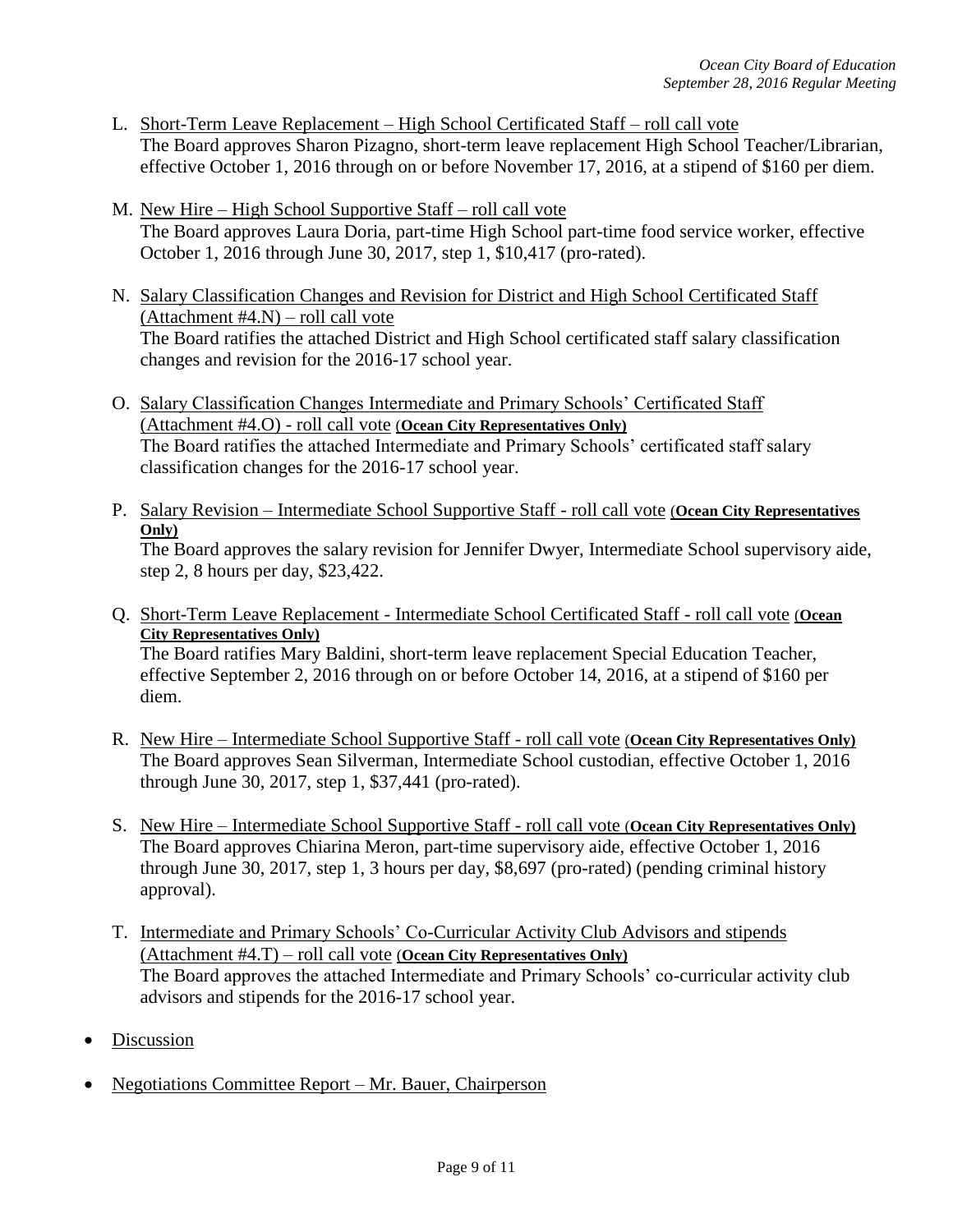- L. Short-Term Leave Replacement High School Certificated Staff roll call vote The Board approves Sharon Pizagno, short-term leave replacement High School Teacher/Librarian, effective October 1, 2016 through on or before November 17, 2016, at a stipend of \$160 per diem.
- M. New Hire High School Supportive Staff roll call vote The Board approves Laura Doria, part-time High School part-time food service worker, effective October 1, 2016 through June 30, 2017, step 1, \$10,417 (pro-rated).
- N. Salary Classification Changes and Revision for District and High School Certificated Staff (Attachment  $#4.N$ ) – roll call vote The Board ratifies the attached District and High School certificated staff salary classification changes and revision for the 2016-17 school year.
- O. Salary Classification Changes Intermediate and Primary Schools' Certificated Staff (Attachment #4.O) - roll call vote (**Ocean City Representatives Only)** The Board ratifies the attached Intermediate and Primary Schools' certificated staff salary classification changes for the 2016-17 school year.
- P. Salary Revision Intermediate School Supportive Staff roll call vote (**Ocean City Representatives Only)**

The Board approves the salary revision for Jennifer Dwyer, Intermediate School supervisory aide, step 2, 8 hours per day, \$23,422.

- Q. Short-Term Leave Replacement Intermediate School Certificated Staff roll call vote (**Ocean City Representatives Only)** The Board ratifies Mary Baldini, short-term leave replacement Special Education Teacher, effective September 2, 2016 through on or before October 14, 2016, at a stipend of \$160 per diem.
- R. New Hire Intermediate School Supportive Staff roll call vote (**Ocean City Representatives Only)** The Board approves Sean Silverman, Intermediate School custodian, effective October 1, 2016 through June 30, 2017, step 1, \$37,441 (pro-rated).
- S. New Hire Intermediate School Supportive Staff roll call vote (**Ocean City Representatives Only)** The Board approves Chiarina Meron*,* part-time supervisory aide, effective October 1, 2016 through June 30, 2017, step 1, 3 hours per day, \$8,697 (pro-rated) (pending criminal history approval).
- T. Intermediate and Primary Schools' Co-Curricular Activity Club Advisors and stipends (Attachment #4.T) – roll call vote (**Ocean City Representatives Only)** The Board approves the attached Intermediate and Primary Schools' co-curricular activity club advisors and stipends for the 2016-17 school year.
- Discussion
- Negotiations Committee Report Mr. Bauer, Chairperson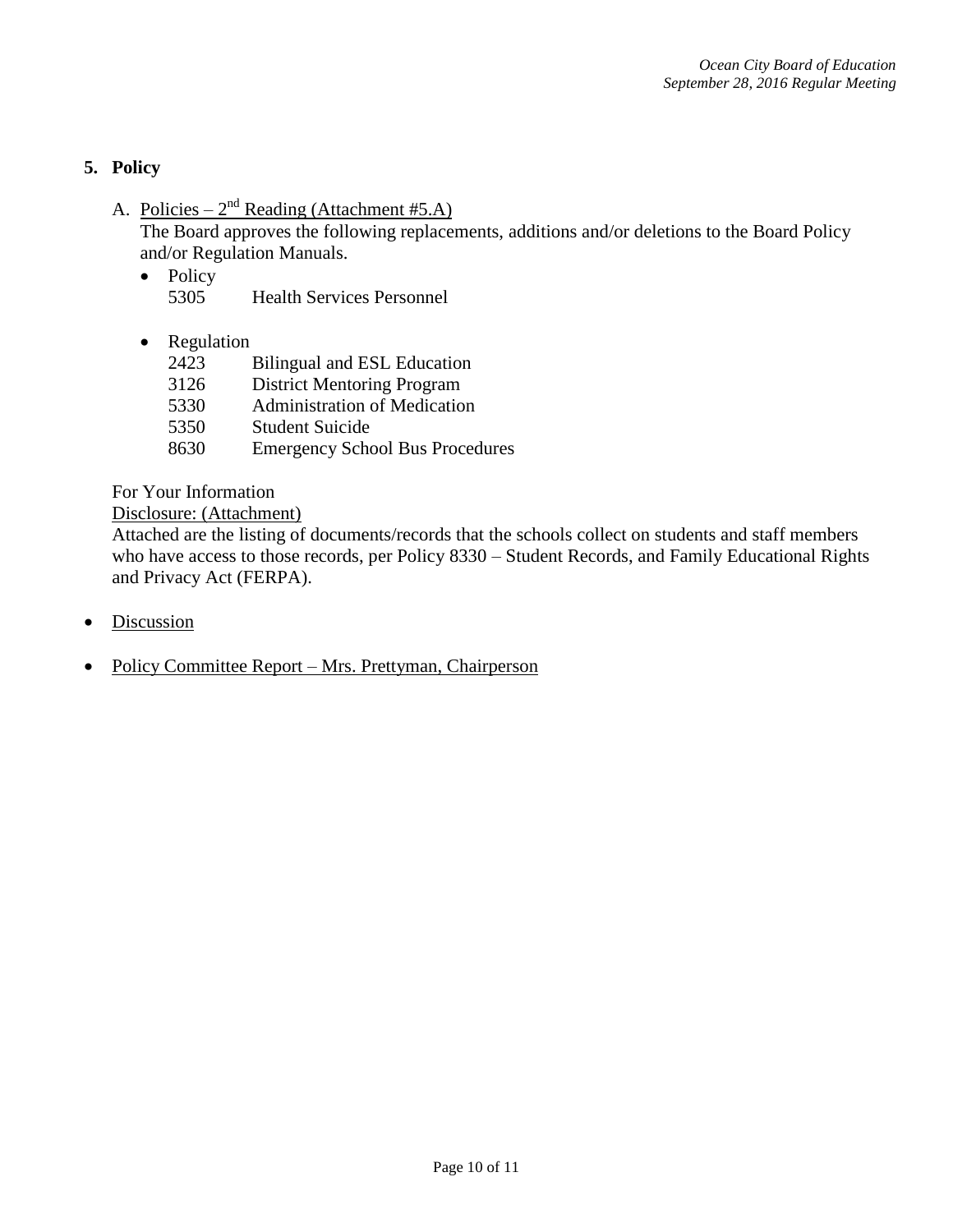## **5. Policy**

A. Policies –  $2<sup>nd</sup>$  Reading (Attachment #5.A)

The Board approves the following replacements, additions and/or deletions to the Board Policy and/or Regulation Manuals.

- Policy 5305 Health Services Personnel
- Regulation
	- 2423 Bilingual and ESL Education
	- 3126 District Mentoring Program
	- 5330 Administration of Medication
	- 5350 Student Suicide
	- 8630 Emergency School Bus Procedures

For Your Information

#### Disclosure: (Attachment)

Attached are the listing of documents/records that the schools collect on students and staff members who have access to those records, per Policy 8330 – Student Records, and Family Educational Rights and Privacy Act (FERPA).

- Discussion
- Policy Committee Report Mrs. Prettyman, Chairperson